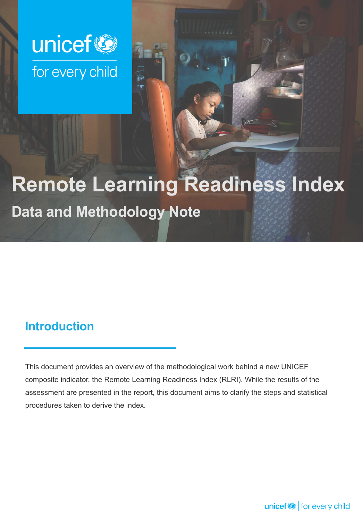

# **Remote Learning Readiness Index**

**Data and Methodology Note**

### **Introduction**

This document provides an overview of the methodological work behind a new UNICEF composite indicator, the Remote Learning Readiness Index (RLRI). While the results of the assessment are presented in the report, this document aims to clarify the steps and statistical procedures taken to derive the index.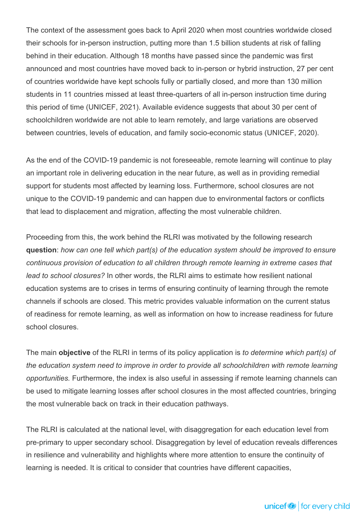The context of the assessment goes back to April 2020 when most countries worldwide closed their schools for in-person instruction, putting more than 1.5 billion students at risk of falling behind in their education. Although 18 months have passed since the pandemic was first announced and most countries have moved back to in-person or hybrid instruction, 27 per cent of countries worldwide have kept schools fully or partially closed, and more than 130 million students in 11 countries missed at least three-quarters of all in-person instruction time during this period of time (UNICEF, 2021). Available evidence suggests that about 30 per cent of schoolchildren worldwide are not able to learn remotely, and large variations are observed between countries, levels of education, and family socio-economic status (UNICEF, 2020).

As the end of the COVID-19 pandemic is not foreseeable, remote learning will continue to play an important role in delivering education in the near future, as well as in providing remedial support for students most affected by learning loss. Furthermore, school closures are not unique to the COVID-19 pandemic and can happen due to environmental factors or conflicts that lead to displacement and migration, affecting the most vulnerable children.

Proceeding from this, the work behind the RLRI was motivated by the following research **question**: *how can one tell which part(s) of the education system should be improved to ensure continuous provision of education to all children through remote learning in extreme cases that lead to school closures?* In other words, the RLRI aims to estimate how resilient national education systems are to crises in terms of ensuring continuity of learning through the remote channels if schools are closed. This metric provides valuable information on the current status of readiness for remote learning, as well as information on how to increase readiness for future school closures.

The main **objective** of the RLRI in terms of its policy application is *to determine which part(s) of the education system need to improve in order to provide all schoolchildren with remote learning opportunities.* Furthermore, the index is also useful in assessing if remote learning channels can be used to mitigate learning losses after school closures in the most affected countries, bringing the most vulnerable back on track in their education pathways.

The RLRI is calculated at the national level, with disaggregation for each education level from pre-primary to upper secondary school. Disaggregation by level of education reveals differences in resilience and vulnerability and highlights where more attention to ensure the continuity of learning is needed. It is critical to consider that countries have different capacities,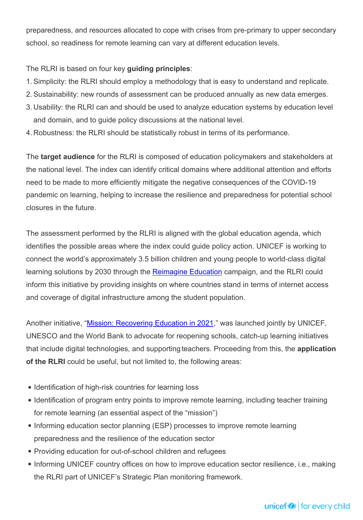preparedness, and resources allocated to cope with crises from pre-primary to upper secondary school, so readiness for remote learning can vary at different education levels.

#### The RLRI is based on four key **guiding principles**:

- 1. Simplicity: the RLRI should employ a methodology that is easy to understand and replicate.
- 2. Sustainability: new rounds of assessment can be produced annually as new data emerges.
- 3. Usability: the RLRI can and should be used to analyze education systems by education level and domain, and to guide policy discussions at the national level.
- 4. Robustness: the RLRI should be statistically robust in terms of its performance.

The **target audience** for the RLRI is composed of education policymakers and stakeholders at the national level. The index can identify critical domains where additional attention and efforts need to be made to more efficiently mitigate the negative consequences of the COVID-19 pandemic on learning, helping to increase the resilience and preparedness for potential school closures in the future.

The assessment performed by the RLRI is aligned with the global education agenda, which identifies the possible areas where the index could guide policy action. UNICEF is working to connect the world's approximately 3.5 billion children and young people to world-class digital learning solutions by 2030 through the [Reimagine Education](https://www.unicef.org/reimagine/education) campaign, and the RLRI could inform this initiative by providing insights on where countries stand in terms of internet access and coverage of digital infrastructure among the student population.

Another initiative, ["Mission: Recovering Education in 2021,](https://www.unicef.org/reports/mission-recovering-education-2021)" was launched jointly by UNICEF, UNESCO and the World Bank to advocate for reopening schools, catch-up learning initiatives that include digital technologies, and supporting teachers. Proceeding from this, the **application of the RLRI** could be useful, but not limited to, the following areas:

- Identification of high-risk countries for learning loss
- Identification of program entry points to improve remote learning, including teacher training for remote learning (an essential aspect of the "mission")
- Informing education sector planning (ESP) processes to improve remote learning preparedness and the resilience of the education sector
- Providing education for out-of-school children and refugees
- Informing UNICEF country offices on how to improve education sector resilience, i.e., making the RLRI part of UNICEF's Strategic Plan monitoring framework.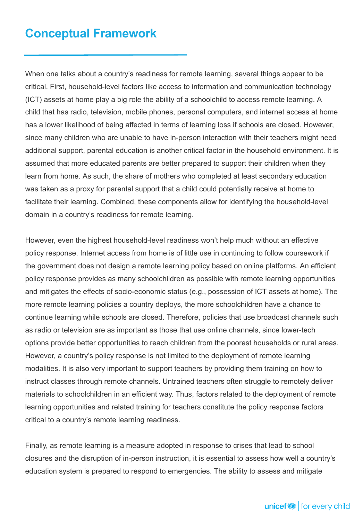### **Conceptual Framework**

When one talks about a country's readiness for remote learning, several things appear to be critical. First, household-level factors like access to information and communication technology (ICT) assets at home play a big role the ability of a schoolchild to access remote learning. A child that has radio, television, mobile phones, personal computers, and internet access at home has a lower likelihood of being affected in terms of learning loss if schools are closed. However, since many children who are unable to have in-person interaction with their teachers might need additional support, parental education is another critical factor in the household environment. It is assumed that more educated parents are better prepared to support their children when they learn from home. As such, the share of mothers who completed at least secondary education was taken as a proxy for parental support that a child could potentially receive at home to facilitate their learning. Combined, these components allow for identifying the household-level domain in a country's readiness for remote learning.

However, even the highest household-level readiness won't help much without an effective policy response. Internet access from home is of little use in continuing to follow coursework if the government does not design a remote learning policy based on online platforms. An efficient policy response provides as many schoolchildren as possible with remote learning opportunities and mitigates the effects of socio-economic status (e.g., possession of ICT assets at home). The more remote learning policies a country deploys, the more schoolchildren have a chance to continue learning while schools are closed. Therefore, policies that use broadcast channels such as radio or television are as important as those that use online channels, since lower-tech options provide better opportunities to reach children from the poorest households or rural areas. However, a country's policy response is not limited to the deployment of remote learning modalities. It is also very important to support teachers by providing them training on how to instruct classes through remote channels. Untrained teachers often struggle to remotely deliver materials to schoolchildren in an efficient way. Thus, factors related to the deployment of remote learning opportunities and related training for teachers constitute the policy response factors critical to a country's remote learning readiness.

Finally, as remote learning is a measure adopted in response to crises that lead to school closures and the disruption of in-person instruction, it is essential to assess how well a country's education system is prepared to respond to emergencies. The ability to assess and mitigate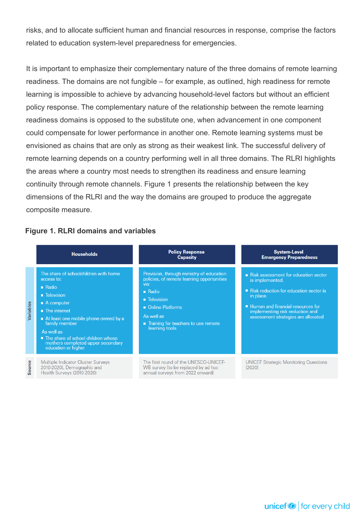risks, and to allocate sufficient human and financial resources in response, comprise the factors related to education system-level preparedness for emergencies.

It is important to emphasize their complementary nature of the three domains of remote learning readiness. The domains are not fungible – for example, as outlined, high readiness for remote learning is impossible to achieve by advancing household-level factors but without an efficient policy response. The complementary nature of the relationship between the remote learning readiness domains is opposed to the substitute one, when advancement in one component could compensate for lower performance in another one. Remote learning systems must be envisioned as chains that are only as strong as their weakest link. The successful delivery of remote learning depends on a country performing well in all three domains. The RLRI highlights the areas where a country most needs to strengthen its readiness and ensure learning continuity through remote channels. Figure 1 presents the relationship between the key dimensions of the RLRI and the way the domains are grouped to produce the aggregate composite measure.

#### **Figure 1. RLRI domains and variables**

|           | <b>Households</b>                                                                                                                                                                                                                                                                                                                         | <b>Policy Response</b><br><b>Capacity</b>                                                                                                                                                                                                | <b>System-Level</b><br><b>Emergency Preparedness</b>                                                                                                                                                                            |
|-----------|-------------------------------------------------------------------------------------------------------------------------------------------------------------------------------------------------------------------------------------------------------------------------------------------------------------------------------------------|------------------------------------------------------------------------------------------------------------------------------------------------------------------------------------------------------------------------------------------|---------------------------------------------------------------------------------------------------------------------------------------------------------------------------------------------------------------------------------|
| Variables | The share of schoolchildren with home<br>access to:<br>$\blacksquare$ Radio<br><b>E</b> Television<br>$\blacksquare$ A computer<br>$\blacksquare$ The internet<br>At least one mobile phone owned by a<br>family member<br>As well as<br>■ The share of school children whose<br>mothers completed upper secondary<br>education or higher | Provision, through ministry of education<br>policies, of remote learning opportunities<br>via:<br>$\blacksquare$ Radio<br><b>Television</b><br>• Online Platforms<br>As well as<br>Training for teachers to use remote<br>learning tools | Risk assessment for education sector<br>is implemented.<br>■ Risk reduction for education sector is<br>in place.<br>Human and financial resources for<br>implementing risk reduction and<br>assessment strategies are allocated |
| Source    | Multiple Indicator Cluster Surveys<br>2010-2020), Demographic and<br>Health Surveys (2010-2020)                                                                                                                                                                                                                                           | The first round of the UNESCO-UNICEF-<br>WB survey (to be replaced by ad hoc<br>annual surveys from 2022 onward)                                                                                                                         | <b>UNICEF Strategic Monitoring Questions</b><br>(2020)                                                                                                                                                                          |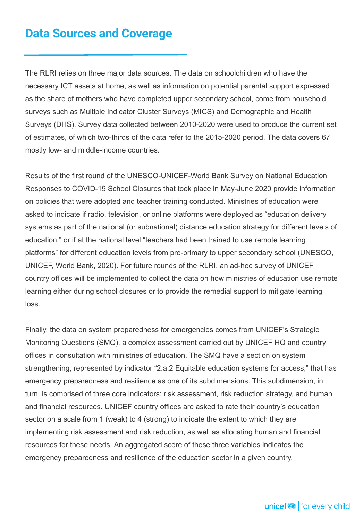### **Data Sources and Coverage**

The RLRI relies on three major data sources. The data on schoolchildren who have the necessary ICT assets at home, as well as information on potential parental support expressed as the share of mothers who have completed upper secondary school, come from household surveys such as Multiple Indicator Cluster Surveys (MICS) and Demographic and Health Surveys (DHS). Survey data collected between 2010-2020 were used to produce the current set of estimates, of which two-thirds of the data refer to the 2015-2020 period. The data covers 67 mostly low- and middle-income countries.

Results of the first round of the UNESCO-UNICEF-World Bank Survey on National Education Responses to COVID-19 School Closures that took place in May-June 2020 provide information on policies that were adopted and teacher training conducted. Ministries of education were asked to indicate if radio, television, or online platforms were deployed as "education delivery systems as part of the national (or subnational) distance education strategy for different levels of education," or if at the national level "teachers had been trained to use remote learning platforms" for different education levels from pre-primary to upper secondary school (UNESCO, UNICEF, World Bank, 2020). For future rounds of the RLRI, an ad-hoc survey of UNICEF country offices will be implemented to collect the data on how ministries of education use remote learning either during school closures or to provide the remedial support to mitigate learning loss.

Finally, the data on system preparedness for emergencies comes from UNICEF's Strategic Monitoring Questions (SMQ), a complex assessment carried out by UNICEF HQ and country offices in consultation with ministries of education. The SMQ have a section on system strengthening, represented by indicator "2.a.2 Equitable education systems for access," that has emergency preparedness and resilience as one of its subdimensions. This subdimension, in turn, is comprised of three core indicators: risk assessment, risk reduction strategy, and human and financial resources. UNICEF country offices are asked to rate their country's education sector on a scale from 1 (weak) to 4 (strong) to indicate the extent to which they are implementing risk assessment and risk reduction, as well as allocating human and financial resources for these needs. An aggregated score of these three variables indicates the emergency preparedness and resilience of the education sector in a given country.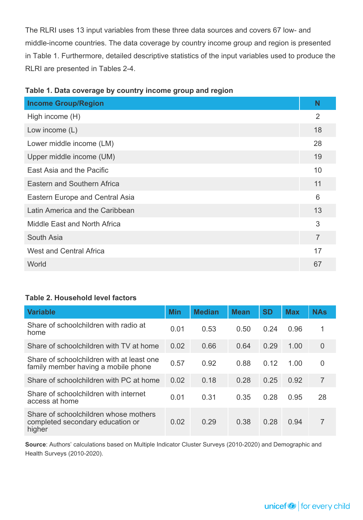The RLRI uses 13 input variables from these three data sources and covers 67 low- and middle-income countries. The data coverage by country income group and region is presented in Table 1. Furthermore, detailed descriptive statistics of the input variables used to produce the RLRI are presented in Tables 2-4.

| <b>Income Group/Region</b>      | N              |
|---------------------------------|----------------|
| High income (H)                 | 2              |
| Low income $(L)$                | 18             |
| Lower middle income (LM)        | 28             |
| Upper middle income (UM)        | 19             |
| East Asia and the Pacific       | 10             |
| Eastern and Southern Africa     | 11             |
| Eastern Europe and Central Asia | 6              |
| Latin America and the Caribbean | 13             |
| Middle East and North Africa    | 3              |
| South Asia                      | $\overline{7}$ |
| <b>West and Central Africa</b>  | 17             |
| World                           | 67             |
|                                 |                |

|  | Table 1. Data coverage by country income group and region |  |  |  |
|--|-----------------------------------------------------------|--|--|--|
|  |                                                           |  |  |  |

#### **Table 2. Household level factors**

| <b>Variable</b>                                                                     | <b>Min</b> | <b>Median</b> | <b>Mean</b> | <b>SD</b> | <b>Max</b> | <b>NAs</b>     |
|-------------------------------------------------------------------------------------|------------|---------------|-------------|-----------|------------|----------------|
|                                                                                     |            |               |             |           |            |                |
| Share of schoolchildren with radio at<br>home                                       | 0.01       | 0.53          | 0.50        | 0.24      | 0.96       | 1              |
| Share of schoolchildren with TV at home                                             | 0.02       | 0.66          | 0.64        | 0.29      | 1.00       | $\overline{0}$ |
| Share of schoolchildren with at least one<br>family member having a mobile phone    | 0.57       | 0.92          | 0.88        | 0.12      | 1.00       | $\Omega$       |
| Share of schoolchildren with PC at home                                             | 0.02       | 0.18          | 0.28        | 0.25      | 0.92       | 7              |
| Share of schoolchildren with internet<br>access at home                             | 0.01       | 0.31          | 0.35        | 0.28      | 0.95       | 28             |
| Share of schoolchildren whose mothers<br>completed secondary education or<br>higher | 0.02       | 0.29          | 0.38        | 0.28      | 0.94       | 7              |

**Source**: Authors' calculations based on Multiple Indicator Cluster Surveys (2010-2020) and Demographic and Health Surveys (2010-2020).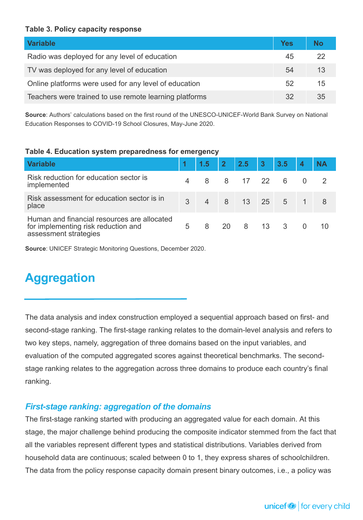#### **Table 3. Policy capacity response**

| <b>Variable</b>                                        | Yes | <b>No</b> |
|--------------------------------------------------------|-----|-----------|
| Radio was deployed for any level of education          | 45  |           |
| TV was deployed for any level of education             | 54  | 13        |
| Online platforms were used for any level of education  | 52  | 15        |
| Teachers were trained to use remote learning platforms | 32  | 35        |

**Source**: Authors' calculations based on the first round of the UNESCO-UNICEF-World Bank Survey on National Education Responses to COVID-19 School Closures, May-June 2020.

#### **Table 4. Education system preparedness for emergency**

| <b>Variable</b>                                                                                             |   | $1.5$ 2 2.5 3  |      |             | 3.5 | <b>NA</b> |
|-------------------------------------------------------------------------------------------------------------|---|----------------|------|-------------|-----|-----------|
| Risk reduction for education sector is<br>implemented                                                       |   | 8 8 17 22 6    |      |             |     |           |
| Risk assessment for education sector is in<br>place                                                         | 3 | $\overline{4}$ |      | 8 13 25 5 1 |     |           |
| Human and financial resources are allocated<br>for implementing risk reduction and<br>assessment strategies | 5 | 8              | 20 I | 8 13 3      |     |           |

**Source**: UNICEF Strategic Monitoring Questions, December 2020.

### **Aggregation**

The data analysis and index construction employed a sequential approach based on first- and second-stage ranking. The first-stage ranking relates to the domain-level analysis and refers to two key steps, namely, aggregation of three domains based on the input variables, and evaluation of the computed aggregated scores against theoretical benchmarks. The secondstage ranking relates to the aggregation across three domains to produce each country's final ranking.

#### *First-stage ranking: aggregation of the domains*

The first-stage ranking started with producing an aggregated value for each domain. At this stage, the major challenge behind producing the composite indicator stemmed from the fact that all the variables represent different types and statistical distributions. Variables derived from household data are continuous; scaled between 0 to 1, they express shares of schoolchildren. The data from the policy response capacity domain present binary outcomes, i.e., a policy was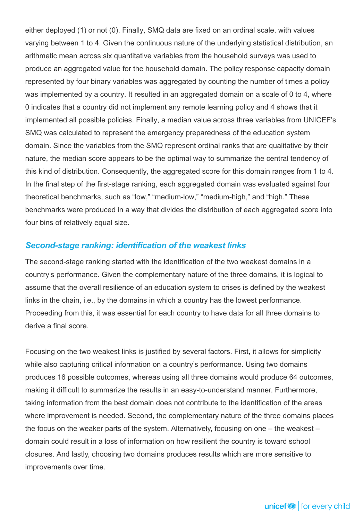either deployed (1) or not (0). Finally, SMQ data are fixed on an ordinal scale, with values varying between 1 to 4. Given the continuous nature of the underlying statistical distribution, an arithmetic mean across six quantitative variables from the household surveys was used to produce an aggregated value for the household domain. The policy response capacity domain represented by four binary variables was aggregated by counting the number of times a policy was implemented by a country. It resulted in an aggregated domain on a scale of 0 to 4, where 0 indicates that a country did not implement any remote learning policy and 4 shows that it implemented all possible policies. Finally, a median value across three variables from UNICEF's SMQ was calculated to represent the emergency preparedness of the education system domain. Since the variables from the SMQ represent ordinal ranks that are qualitative by their nature, the median score appears to be the optimal way to summarize the central tendency of this kind of distribution. Consequently, the aggregated score for this domain ranges from 1 to 4. In the final step of the first-stage ranking, each aggregated domain was evaluated against four theoretical benchmarks, such as "low," "medium-low," "medium-high," and "high." These benchmarks were produced in a way that divides the distribution of each aggregated score into four bins of relatively equal size.

#### *Second-stage ranking: identification of the weakest links*

The second-stage ranking started with the identification of the two weakest domains in a country's performance. Given the complementary nature of the three domains, it is logical to assume that the overall resilience of an education system to crises is defined by the weakest links in the chain, i.e., by the domains in which a country has the lowest performance. Proceeding from this, it was essential for each country to have data for all three domains to derive a final score.

Focusing on the two weakest links is justified by several factors. First, it allows for simplicity while also capturing critical information on a country's performance. Using two domains produces 16 possible outcomes, whereas using all three domains would produce 64 outcomes, making it difficult to summarize the results in an easy-to-understand manner. Furthermore, taking information from the best domain does not contribute to the identification of the areas where improvement is needed. Second, the complementary nature of the three domains places the focus on the weaker parts of the system. Alternatively, focusing on one – the weakest – domain could result in a loss of information on how resilient the country is toward school closures. And lastly, choosing two domains produces results which are more sensitive to improvements over time.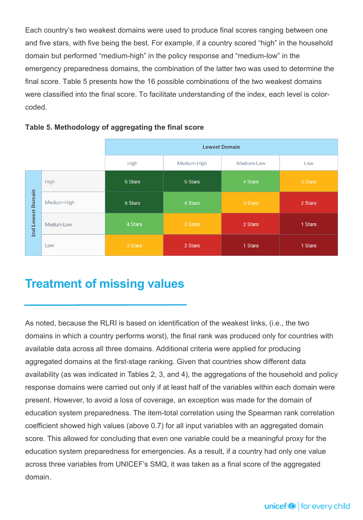Each country's two weakest domains were used to produce final scores ranging between one and five stars, with five being the best. For example, if a country scored "high" in the household domain but performed "medium-high" in the policy response and "medium-low" in the emergency preparedness domains, the combination of the latter two was used to determine the final score. Table 5 presents how the 16 possible combinations of the two weakest domains were classified into the final score. To facilitate understanding of the index, each level is colorcoded.

|               |             | <b>Lowest Domain</b> |             |            |         |  |  |
|---------------|-------------|----------------------|-------------|------------|---------|--|--|
|               |             | <b>High</b>          | Medium-High | Medium-Low | Low     |  |  |
|               | High        | 5 Stars              | 5 Stars     | 4 Stars    | 3 Stars |  |  |
| Domain        | Medium-High | 5 Stars              | 4 Stars     | 3 Stars    | 2 Stars |  |  |
| Lowest<br>2nd | Medium-Low  | 4 Stars              | 3 Stars     | 2 Stars    | 1 Stars |  |  |
|               | Low         | 3 Stars              | 2 Stars     | 1 Stars    | 1 Stars |  |  |

#### **Table 5. Methodology of aggregating the final score**

### **Treatment of missing values**

As noted, because the RLRI is based on identification of the weakest links, (i.e., the two domains in which a country performs worst), the final rank was produced only for countries with available data across all three domains. Additional criteria were applied for producing aggregated domains at the first-stage ranking. Given that countries show different data availability (as was indicated in Tables 2, 3, and 4), the aggregations of the household and policy response domains were carried out only if at least half of the variables within each domain were present. However, to avoid a loss of coverage, an exception was made for the domain of education system preparedness. The item-total correlation using the Spearman rank correlation coefficient showed high values (above 0.7) for all input variables with an aggregated domain score. This allowed for concluding that even one variable could be a meaningful proxy for the education system preparedness for emergencies. As a result, if a country had only one value across three variables from UNICEF's SMQ, it was taken as a final score of the aggregated domain.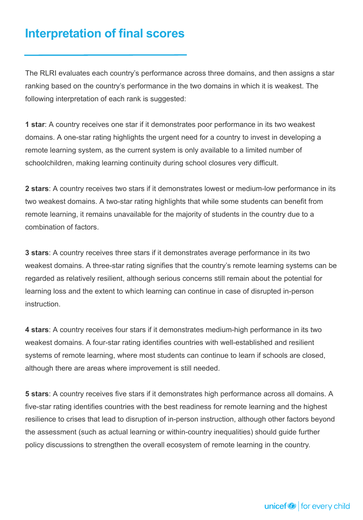### **Interpretation of final scores**

The RLRI evaluates each country's performance across three domains, and then assigns a star ranking based on the country's performance in the two domains in which it is weakest. The following interpretation of each rank is suggested:

**1 star**: A country receives one star if it demonstrates poor performance in its two weakest domains. A one-star rating highlights the urgent need for a country to invest in developing a remote learning system, as the current system is only available to a limited number of schoolchildren, making learning continuity during school closures very difficult.

**2 stars**: A country receives two stars if it demonstrates lowest or medium-low performance in its two weakest domains. A two-star rating highlights that while some students can benefit from remote learning, it remains unavailable for the majority of students in the country due to a combination of factors.

**3 stars**: A country receives three stars if it demonstrates average performance in its two weakest domains. A three-star rating signifies that the country's remote learning systems can be regarded as relatively resilient, although serious concerns still remain about the potential for learning loss and the extent to which learning can continue in case of disrupted in-person instruction.

**4 stars**: A country receives four stars if it demonstrates medium-high performance in its two weakest domains. A four-star rating identifies countries with well-established and resilient systems of remote learning, where most students can continue to learn if schools are closed, although there are areas where improvement is still needed.

**5 stars**: A country receives five stars if it demonstrates high performance across all domains. A five-star rating identifies countries with the best readiness for remote learning and the highest resilience to crises that lead to disruption of in-person instruction, although other factors beyond the assessment (such as actual learning or within-country inequalities) should guide further policy discussions to strengthen the overall ecosystem of remote learning in the country.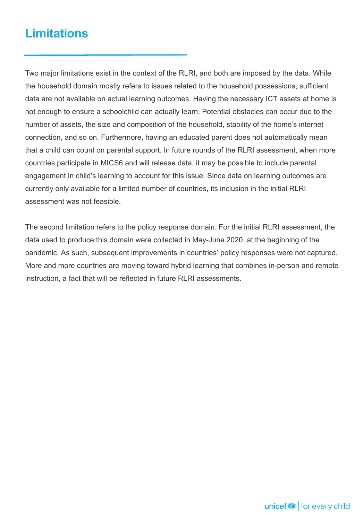### **Limitations**

Two major limitations exist in the context of the RLRI, and both are imposed by the data. While the household domain mostly refers to issues related to the household possessions, sufficient data are not available on actual learning outcomes. Having the necessary ICT assets at home is not enough to ensure a schoolchild can actually learn. Potential obstacles can occur due to the number of assets, the size and composition of the household, stability of the home's internet connection, and so on. Furthermore, having an educated parent does not automatically mean that a child can count on parental support. In future rounds of the RLRI assessment, when more countries participate in MICS6 and will release data, it may be possible to include parental engagement in child's learning to account for this issue. Since data on learning outcomes are currently only available for a limited number of countries, its inclusion in the initial RLRI assessment was not feasible.

The second limitation refers to the policy response domain. For the initial RLRI assessment, the data used to produce this domain were collected in May-June 2020, at the beginning of the pandemic. As such, subsequent improvements in countries' policy responses were not captured. More and more countries are moving toward hybrid learning that combines in-person and remote instruction, a fact that will be reflected in future RLRI assessments.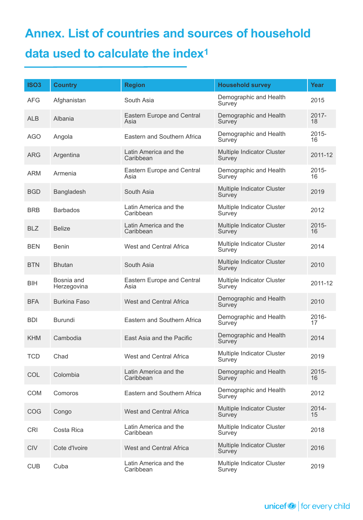## **Annex. List of countries and sources of household data used to calculate the index<sup>1</sup>**

| <b>ISO3</b> | <b>Country</b>            | <b>Region</b>                             | <b>Household survey</b>              | Year           |
|-------------|---------------------------|-------------------------------------------|--------------------------------------|----------------|
| <b>AFG</b>  | Afghanistan               | South Asia                                | Demographic and Health<br>Survey     | 2015           |
| <b>ALB</b>  | Albania                   | Eastern Europe and Central<br>Asia        | Demographic and Health<br>Survey     | $2017 -$<br>18 |
| <b>AGO</b>  | Angola                    | Eastern and Southern Africa               | Demographic and Health<br>Survey     | $2015 -$<br>16 |
| <b>ARG</b>  | Argentina                 | Latin America and the<br>Caribbean        | Multiple Indicator Cluster<br>Survey | 2011-12        |
| <b>ARM</b>  | Armenia                   | <b>Eastern Europe and Central</b><br>Asia | Demographic and Health<br>Survey     | $2015 -$<br>16 |
| <b>BGD</b>  | Bangladesh                | South Asia                                | Multiple Indicator Cluster<br>Survey | 2019           |
| <b>BRB</b>  | <b>Barbados</b>           | Latin America and the<br>Caribbean        | Multiple Indicator Cluster<br>Survey | 2012           |
| <b>BLZ</b>  | <b>Belize</b>             | Latin America and the<br>Caribbean        | Multiple Indicator Cluster<br>Survey | $2015 -$<br>16 |
| <b>BEN</b>  | <b>Benin</b>              | West and Central Africa                   | Multiple Indicator Cluster<br>Survey | 2014           |
| <b>BTN</b>  | <b>Bhutan</b>             | South Asia                                | Multiple Indicator Cluster<br>Survey | 2010           |
| BIH         | Bosnia and<br>Herzegovina | Eastern Europe and Central<br>Asia        | Multiple Indicator Cluster<br>Survey | 2011-12        |
| <b>BFA</b>  | <b>Burkina Faso</b>       | West and Central Africa                   | Demographic and Health<br>Survey     | 2010           |
| <b>BDI</b>  | <b>Burundi</b>            | Eastern and Southern Africa               | Demographic and Health<br>Survey     | 2016-<br>17    |
| <b>KHM</b>  | Cambodia                  | East Asia and the Pacific                 | Demographic and Health<br>Survey     | 2014           |
| <b>TCD</b>  | Chad                      | West and Central Africa                   | Multiple Indicator Cluster<br>Survey | 2019           |
| COL         | Colombia                  | Latin America and the<br>Caribbean        | Demographic and Health<br>Survey     | 2015-<br>16    |
| <b>COM</b>  | Comoros                   | Eastern and Southern Africa               | Demographic and Health<br>Survey     | 2012           |
| COG         | Congo                     | <b>West and Central Africa</b>            | Multiple Indicator Cluster<br>Survey | 2014-<br>15    |
| <b>CRI</b>  | Costa Rica                | Latin America and the<br>Caribbean        | Multiple Indicator Cluster<br>Survey | 2018           |
| <b>CIV</b>  | Cote d'Ivoire             | West and Central Africa                   | Multiple Indicator Cluster<br>Survey | 2016           |
| <b>CUB</b>  | Cuba                      | Latin America and the<br>Caribbean        | Multiple Indicator Cluster<br>Survey | 2019           |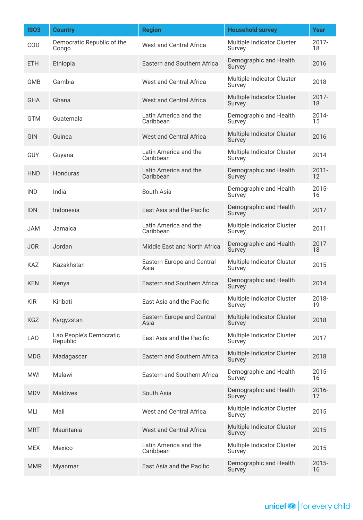| <b>ISO3</b>     | <b>Country</b>                      | <b>Region</b>                      | <b>Household survey</b>              | Year           |
|-----------------|-------------------------------------|------------------------------------|--------------------------------------|----------------|
| COD             | Democratic Republic of the<br>Congo | <b>West and Central Africa</b>     | Multiple Indicator Cluster<br>Survey | 2017-<br>18    |
| <b>ETH</b>      | Ethiopia                            | <b>Eastern and Southern Africa</b> | Demographic and Health<br>Survey     | 2016           |
| <b>GMB</b>      | Gambia                              | <b>West and Central Africa</b>     | Multiple Indicator Cluster<br>Survey | 2018           |
| <b>GHA</b>      | Ghana                               | <b>West and Central Africa</b>     | Multiple Indicator Cluster<br>Survey | 2017-<br>18    |
| <b>GTM</b>      | Guatemala                           | Latin America and the<br>Caribbean | Demographic and Health<br>Survey     | 2014-<br>15    |
| GIN             | Guinea                              | West and Central Africa            | Multiple Indicator Cluster<br>Survey | 2016           |
| <b>GUY</b>      | Guyana                              | Latin America and the<br>Caribbean | Multiple Indicator Cluster<br>Survey | 2014           |
| <b>HND</b>      | Honduras                            | Latin America and the<br>Caribbean | Demographic and Health<br>Survey     | $2011 -$<br>12 |
| <b>IND</b>      | India                               | South Asia                         | Demographic and Health<br>Survey     | $2015 -$<br>16 |
| <b>IDN</b>      | Indonesia                           | East Asia and the Pacific          | Demographic and Health<br>Survey     | 2017           |
| <b>JAM</b>      | Jamaica                             | Latin America and the<br>Caribbean | Multiple Indicator Cluster<br>Survey | 2011           |
| <b>JOR</b>      | Jordan                              | Middle East and North Africa       | Demographic and Health<br>Survey     | $2017 -$<br>18 |
| <b>KAZ</b>      | Kazakhstan                          | Eastern Europe and Central<br>Asia | Multiple Indicator Cluster<br>Survey | 2015           |
| <b>KEN</b>      | Kenya                               | <b>Eastern and Southern Africa</b> | Demographic and Health<br>Survey     | 2014           |
| <b>KIR</b>      | Kiribati                            | East Asia and the Pacific          | Multiple Indicator Cluster<br>Survey | 2018-<br>19    |
| <b>KGZ</b>      | Kyrgyzstan                          | Eastern Europe and Central<br>Asia | Multiple Indicator Cluster<br>Survey | 2018           |
| LA <sub>O</sub> | Lao People's Democratic<br>Republic | East Asia and the Pacific          | Multiple Indicator Cluster<br>Survey | 2017           |
| <b>MDG</b>      | Madagascar                          | Eastern and Southern Africa        | Multiple Indicator Cluster<br>Survey | 2018           |
| <b>MWI</b>      | Malawi                              | Eastern and Southern Africa        | Demographic and Health<br>Survey     | $2015 -$<br>16 |
| <b>MDV</b>      | <b>Maldives</b>                     | South Asia                         | Demographic and Health<br>Survey     | 2016-<br>17    |
| MLI             | Mali                                | West and Central Africa            | Multiple Indicator Cluster<br>Survey | 2015           |
| <b>MRT</b>      | Mauritania                          | <b>West and Central Africa</b>     | Multiple Indicator Cluster<br>Survey | 2015           |
| <b>MEX</b>      | Mexico                              | Latin America and the<br>Caribbean | Multiple Indicator Cluster<br>Survey | 2015           |
| <b>MMR</b>      | Myanmar                             | East Asia and the Pacific          | Demographic and Health<br>Survey     | $2015 -$<br>16 |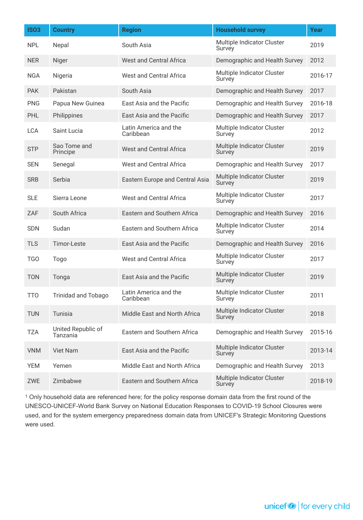| <b>ISO3</b> | <b>Country</b>                 | <b>Region</b>                      | <b>Household survey</b>              | <b>Year</b> |
|-------------|--------------------------------|------------------------------------|--------------------------------------|-------------|
| <b>NPL</b>  | Nepal                          | South Asia                         | Multiple Indicator Cluster<br>Survey | 2019        |
| <b>NER</b>  | Niger                          | <b>West and Central Africa</b>     | Demographic and Health Survey        | 2012        |
| <b>NGA</b>  | Nigeria                        | <b>West and Central Africa</b>     | Multiple Indicator Cluster<br>Survey | 2016-17     |
| <b>PAK</b>  | Pakistan                       | South Asia                         | Demographic and Health Survey        | 2017        |
| <b>PNG</b>  | Papua New Guinea               | East Asia and the Pacific          | Demographic and Health Survey        | 2016-18     |
| PHL         | Philippines                    | East Asia and the Pacific          | Demographic and Health Survey        | 2017        |
| <b>LCA</b>  | Saint Lucia                    | Latin America and the<br>Caribbean | Multiple Indicator Cluster<br>Survey | 2012        |
| <b>STP</b>  | Sao Tome and<br>Principe       | <b>West and Central Africa</b>     | Multiple Indicator Cluster<br>Survey | 2019        |
| <b>SEN</b>  | Senegal                        | <b>West and Central Africa</b>     | Demographic and Health Survey        | 2017        |
| <b>SRB</b>  | Serbia                         | Eastern Europe and Central Asia    | Multiple Indicator Cluster<br>Survey | 2019        |
| <b>SLE</b>  | Sierra Leone                   | <b>West and Central Africa</b>     | Multiple Indicator Cluster<br>Survey | 2017        |
| ZAF         | South Africa                   | Eastern and Southern Africa        | Demographic and Health Survey        | 2016        |
| <b>SDN</b>  | Sudan                          | Eastern and Southern Africa        | Multiple Indicator Cluster<br>Survey | 2014        |
| <b>TLS</b>  | Timor-Leste                    | East Asia and the Pacific          | Demographic and Health Survey        | 2016        |
| <b>TGO</b>  | Togo                           | <b>West and Central Africa</b>     | Multiple Indicator Cluster<br>Survey | 2017        |
| <b>TON</b>  | Tonga                          | East Asia and the Pacific          | Multiple Indicator Cluster<br>Survey | 2019        |
| <b>TTO</b>  | <b>Trinidad and Tobago</b>     | Latin America and the<br>Caribbean | Multiple Indicator Cluster<br>Survey | 2011        |
| <b>TUN</b>  | Tunisia                        | Middle East and North Africa       | Multiple Indicator Cluster<br>Survey | 2018        |
| <b>TZA</b>  | United Republic of<br>Tanzania | Eastern and Southern Africa        | Demographic and Health Survey        | 2015-16     |
| <b>VNM</b>  | <b>Viet Nam</b>                | East Asia and the Pacific          | Multiple Indicator Cluster<br>Survey | 2013-14     |
| <b>YEM</b>  | Yemen                          | Middle East and North Africa       | Demographic and Health Survey        | 2013        |
| ZWE         | Zimbabwe                       | Eastern and Southern Africa        | Multiple Indicator Cluster<br>Survey | 2018-19     |

<sup>1</sup> Only household data are referenced here; for the policy response domain data from the first round of the UNESCO-UNICEF-World Bank Survey on National Education Responses to COVID-19 School Closures were used, and for the system emergency preparedness domain data from UNICEF's Strategic Monitoring Questions were used.